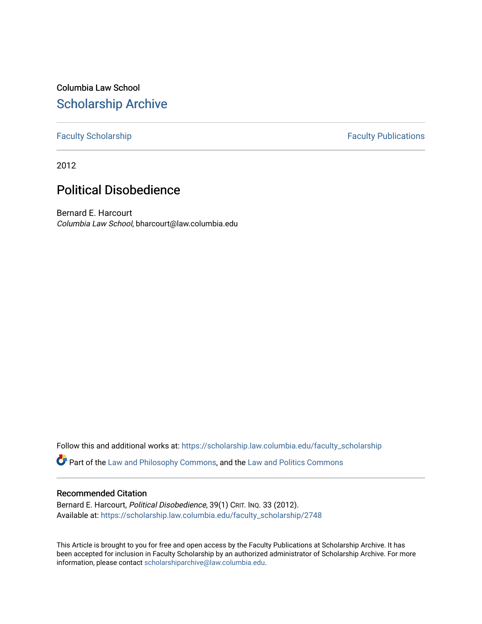Columbia Law School [Scholarship Archive](https://scholarship.law.columbia.edu/) 

[Faculty Scholarship](https://scholarship.law.columbia.edu/faculty_scholarship) **Faculty Publications** 

2012

# Political Disobedience

Bernard E. Harcourt Columbia Law School, bharcourt@law.columbia.edu

Follow this and additional works at: [https://scholarship.law.columbia.edu/faculty\\_scholarship](https://scholarship.law.columbia.edu/faculty_scholarship?utm_source=scholarship.law.columbia.edu%2Ffaculty_scholarship%2F2748&utm_medium=PDF&utm_campaign=PDFCoverPages)

Part of the [Law and Philosophy Commons,](http://network.bepress.com/hgg/discipline/1299?utm_source=scholarship.law.columbia.edu%2Ffaculty_scholarship%2F2748&utm_medium=PDF&utm_campaign=PDFCoverPages) and the [Law and Politics Commons](http://network.bepress.com/hgg/discipline/867?utm_source=scholarship.law.columbia.edu%2Ffaculty_scholarship%2F2748&utm_medium=PDF&utm_campaign=PDFCoverPages)

## Recommended Citation

Bernard E. Harcourt, Political Disobedience, 39(1) CRIT. INQ. 33 (2012). Available at: [https://scholarship.law.columbia.edu/faculty\\_scholarship/2748](https://scholarship.law.columbia.edu/faculty_scholarship/2748?utm_source=scholarship.law.columbia.edu%2Ffaculty_scholarship%2F2748&utm_medium=PDF&utm_campaign=PDFCoverPages)

This Article is brought to you for free and open access by the Faculty Publications at Scholarship Archive. It has been accepted for inclusion in Faculty Scholarship by an authorized administrator of Scholarship Archive. For more information, please contact [scholarshiparchive@law.columbia.edu.](mailto:scholarshiparchive@law.columbia.edu)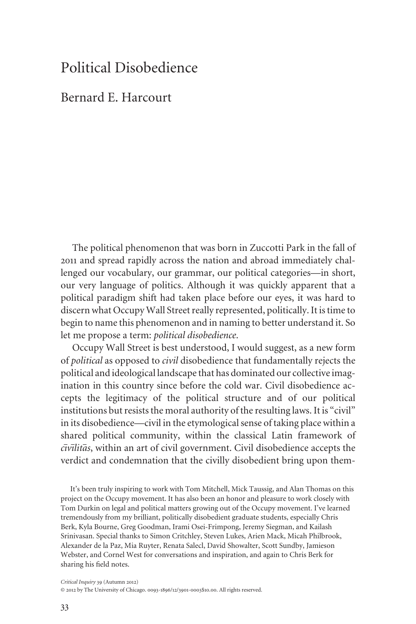# Political Disobedience

# Bernard E. Harcourt

The political phenomenon that was born in Zuccotti Park in the fall of 2011 and spread rapidly across the nation and abroad immediately challenged our vocabulary, our grammar, our political categories—in short, our very language of politics. Although it was quickly apparent that a political paradigm shift had taken place before our eyes, it was hard to discern what Occupy Wall Street really represented, politically. It is time to begin to name this phenomenon and in naming to better understand it. So let me propose a term: *political disobedience*.

Occupy Wall Street is best understood, I would suggest, as a new form of *political* as opposed to *civil* disobedience that fundamentally rejects the political and ideological landscape that has dominated our collective imagination in this country since before the cold war. Civil disobedience accepts the legitimacy of the political structure and of our political institutions but resists the moral authority of the resulting laws. It is "civil" in its disobedience—civil in the etymological sense of taking place within a shared political community, within the classical Latin framework of *cıvılitas*, within an art of civil government. Civil disobedience accepts the verdict and condemnation that the civilly disobedient bring upon them-

It's been truly inspiring to work with Tom Mitchell, Mick Taussig, and Alan Thomas on this project on the Occupy movement. It has also been an honor and pleasure to work closely with Tom Durkin on legal and political matters growing out of the Occupy movement. I've learned tremendously from my brilliant, politically disobedient graduate students, especially Chris Berk, Kyla Bourne, Greg Goodman, Irami Osei-Frimpong, Jeremy Siegman, and Kailash Srinivasan. Special thanks to Simon Critchley, Steven Lukes, Arien Mack, Micah Philbrook, Alexander de la Paz, Mia Ruyter, Renata Salecl, David Showalter, Scott Sundby, Jamieson Webster, and Cornel West for conversations and inspiration, and again to Chris Berk for sharing his field notes.

*Critical Inquiry* 39 (Autumn 2012)

<sup>©</sup> 2012 by The University of Chicago. 0093-1896/12/3901-0003\$10.00. All rights reserved.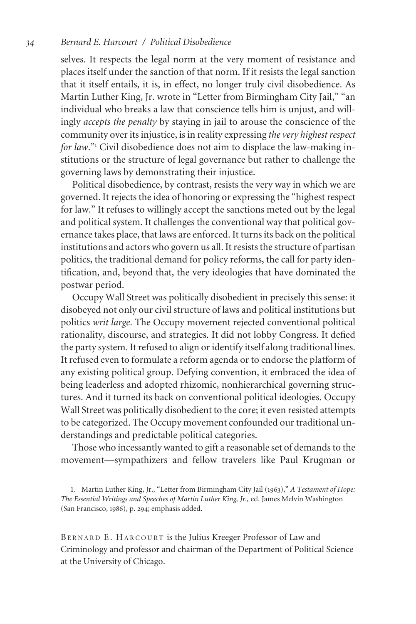selves. It respects the legal norm at the very moment of resistance and places itself under the sanction of that norm. If it resists the legal sanction that it itself entails, it is, in effect, no longer truly civil disobedience. As Martin Luther King, Jr. wrote in "Letter from Birmingham City Jail," "an individual who breaks a law that conscience tells him is unjust, and willingly *accepts the penalty* by staying in jail to arouse the conscience of the community over its injustice, is in reality expressing *the very highest respect for law*."<sup>1</sup> Civil disobedience does not aim to displace the law-making institutions or the structure of legal governance but rather to challenge the governing laws by demonstrating their injustice.

Political disobedience, by contrast, resists the very way in which we are governed. It rejects the idea of honoring or expressing the "highest respect for law." It refuses to willingly accept the sanctions meted out by the legal and political system. It challenges the conventional way that political governance takes place, that laws are enforced. It turns its back on the political institutions and actors who govern us all. It resists the structure of partisan politics, the traditional demand for policy reforms, the call for party identification, and, beyond that, the very ideologies that have dominated the postwar period.

Occupy Wall Street was politically disobedient in precisely this sense: it disobeyed not only our civil structure of laws and political institutions but politics *writ large*. The Occupy movement rejected conventional political rationality, discourse, and strategies. It did not lobby Congress. It defied the party system. It refused to align or identify itself along traditional lines. It refused even to formulate a reform agenda or to endorse the platform of any existing political group. Defying convention, it embraced the idea of being leaderless and adopted rhizomic, nonhierarchical governing structures. And it turned its back on conventional political ideologies. Occupy Wall Street was politically disobedient to the core; it even resisted attempts to be categorized. The Occupy movement confounded our traditional understandings and predictable political categories.

Those who incessantly wanted to gift a reasonable set of demands to the movement—sympathizers and fellow travelers like Paul Krugman or

1. Martin Luther King, Jr., "Letter from Birmingham City Jail (1963)," *A Testament of Hope: The Essential Writings and Speeches of Martin Luther King, Jr.,* ed. James Melvin Washington (San Francisco, 1986), p. 294; emphasis added.

BERNARD E. HARCOURT is the Julius Kreeger Professor of Law and Criminology and professor and chairman of the Department of Political Science at the University of Chicago.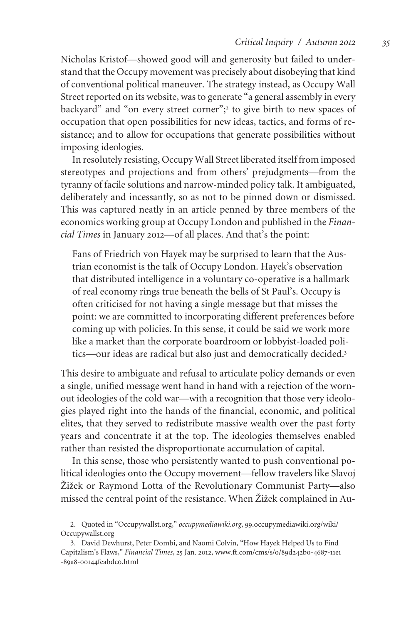Nicholas Kristof—showed good will and generosity but failed to understand that the Occupy movement was precisely about disobeying that kind of conventional political maneuver. The strategy instead, as Occupy Wall Street reported on its website, was to generate "a general assembly in every backyard" and "on every street corner"; to give birth to new spaces of occupation that open possibilities for new ideas, tactics, and forms of resistance; and to allow for occupations that generate possibilities without imposing ideologies.

In resolutely resisting, Occupy Wall Street liberated itself from imposed stereotypes and projections and from others' prejudgments—from the tyranny of facile solutions and narrow-minded policy talk. It ambiguated, deliberately and incessantly, so as not to be pinned down or dismissed. This was captured neatly in an article penned by three members of the economics working group at Occupy London and published in the *Financial Times* in January 2012—of all places. And that's the point:

Fans of Friedrich von Hayek may be surprised to learn that the Austrian economist is the talk of Occupy London. Hayek's observation that distributed intelligence in a voluntary co-operative is a hallmark of real economy rings true beneath the bells of St Paul's. Occupy is often criticised for not having a single message but that misses the point: we are committed to incorporating different preferences before coming up with policies. In this sense, it could be said we work more like a market than the corporate boardroom or lobbyist-loaded politics—our ideas are radical but also just and democratically decided.<sup>3</sup>

This desire to ambiguate and refusal to articulate policy demands or even a single, unified message went hand in hand with a rejection of the wornout ideologies of the cold war—with a recognition that those very ideologies played right into the hands of the financial, economic, and political elites, that they served to redistribute massive wealth over the past forty years and concentrate it at the top. The ideologies themselves enabled rather than resisted the disproportionate accumulation of capital.

In this sense, those who persistently wanted to push conventional political ideologies onto the Occupy movement—fellow travelers like Slavoj Žižek or Raymond Lotta of the Revolutionary Communist Party—also missed the central point of the resistance. When Žižek complained in Au-

<sup>2.</sup> Quoted in "Occupywallst.org," *occupymediawiki.org*, 99.occupymediawiki.org/wiki/ Occupywallst.org

<sup>3.</sup> David Dewhurst, Peter Dombi, and Naomi Colvin, "How Hayek Helped Us to Find Capitalism's Flaws," *Financial Times*, 25 Jan. 2012, www.ft.com/cms/s/0/89d242b0-4687-11e1 -89a8-00144feabdc0.html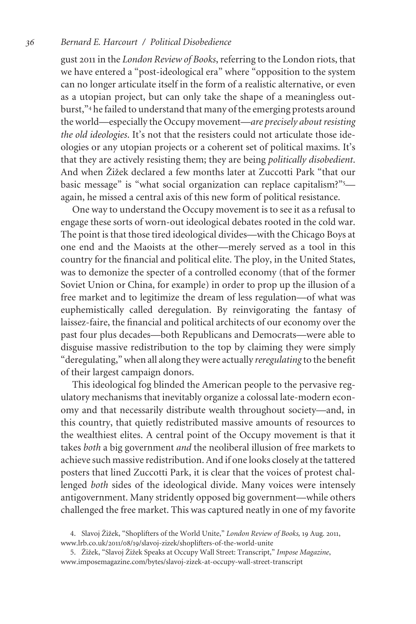gust 2011 in the *London Review of Books*, referring to the London riots, that we have entered a "post-ideological era" where "opposition to the system can no longer articulate itself in the form of a realistic alternative, or even as a utopian project, but can only take the shape of a meaningless outburst,"<sup>4</sup> he failed to understand that many of the emerging protests around the world—especially the Occupy movement—*are precisely about resisting the old ideologies*. It's not that the resisters could not articulate those ideologies or any utopian projects or a coherent set of political maxims. It's that they are actively resisting them; they are being *politically disobedient*. And when Žižek declared a few months later at Zuccotti Park "that our basic message" is "what social organization can replace capitalism?"<sup>5</sup> again, he missed a central axis of this new form of political resistance.

One way to understand the Occupy movement is to see it as a refusal to engage these sorts of worn-out ideological debates rooted in the cold war. The point is that those tired ideological divides—with the Chicago Boys at one end and the Maoists at the other—merely served as a tool in this country for the financial and political elite. The ploy, in the United States, was to demonize the specter of a controlled economy (that of the former Soviet Union or China, for example) in order to prop up the illusion of a free market and to legitimize the dream of less regulation—of what was euphemistically called deregulation. By reinvigorating the fantasy of laissez-faire, the financial and political architects of our economy over the past four plus decades—both Republicans and Democrats—were able to disguise massive redistribution to the top by claiming they were simply "deregulating," when all along they were actually *reregulating* to the benefit of their largest campaign donors.

This ideological fog blinded the American people to the pervasive regulatory mechanisms that inevitably organize a colossal late-modern economy and that necessarily distribute wealth throughout society—and, in this country, that quietly redistributed massive amounts of resources to the wealthiest elites. A central point of the Occupy movement is that it takes *both* a big government *and* the neoliberal illusion of free markets to achieve such massive redistribution. And if one looks closely at the tattered posters that lined Zuccotti Park, it is clear that the voices of protest challenged *both* sides of the ideological divide. Many voices were intensely antigovernment. Many stridently opposed big government—while others challenged the free market. This was captured neatly in one of my favorite

<sup>4.</sup> Slavoj Žižek, "Shoplifters of the World Unite," *London Review of Books,* 19 Aug. 2011, www.lrb.co.uk/2011/08/19/slavoj-zizek/shoplifters-of-the-world-unite

<sup>5.</sup> Žižek, "Slavoj Žižek Speaks at Occupy Wall Street: Transcript," *Impose Magazine*, www.imposemagazine.com/bytes/slavoj-zizek-at-occupy-wall-street-transcript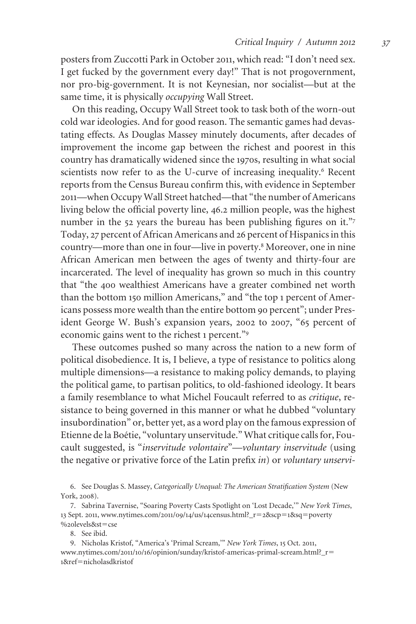posters from Zuccotti Park in October 2011, which read: "I don't need sex. I get fucked by the government every day!" That is not progovernment, nor pro-big-government. It is not Keynesian, nor socialist—but at the same time, it is physically *occupying* Wall Street.

On this reading, Occupy Wall Street took to task both of the worn-out cold war ideologies. And for good reason. The semantic games had devastating effects. As Douglas Massey minutely documents, after decades of improvement the income gap between the richest and poorest in this country has dramatically widened since the 1970s, resulting in what social scientists now refer to as the U-curve of increasing inequality.<sup>6</sup> Recent reports from the Census Bureau confirm this, with evidence in September 2011—when Occupy Wall Street hatched—that "the number of Americans living below the official poverty line, 46.2 million people, was the highest number in the 52 years the bureau has been publishing figures on it."7 Today, 27 percent of African Americans and 26 percent of Hispanics in this country—more than one in four—live in poverty.<sup>8</sup> Moreover, one in nine African American men between the ages of twenty and thirty-four are incarcerated. The level of inequality has grown so much in this country that "the 400 wealthiest Americans have a greater combined net worth than the bottom 150 million Americans," and "the top 1 percent of Americans possess more wealth than the entire bottom 90 percent"; under President George W. Bush's expansion years, 2002 to 2007, "65 percent of economic gains went to the richest 1 percent."<sup>9</sup>

These outcomes pushed so many across the nation to a new form of political disobedience. It is, I believe, a type of resistance to politics along multiple dimensions—a resistance to making policy demands, to playing the political game, to partisan politics, to old-fashioned ideology. It bears a family resemblance to what Michel Foucault referred to as *critique*, resistance to being governed in this manner or what he dubbed "voluntary insubordination" or, better yet, as a word play on the famous expression of Etienne de la Boétie, "voluntary unservitude." What critique calls for, Foucault suggested, is "*inservitude volontaire*"—*voluntary inservitude* (using the negative or privative force of the Latin prefix *in*) or *voluntary unservi-*

6. See Douglas S. Massey, *Categorically Unequal: The American Stratification System* (New York, 2008).

7. Sabrina Tavernise, "Soaring Poverty Casts Spotlight on 'Lost Decade,'" *New York Times*, 13 Sept. 2011, www.nytimes.com/2011/09/14/us/14census.html? $r=2$ &scp=1&sq=poverty %20levels&st=cse

8. See ibid.

9. Nicholas Kristof, "America's 'Primal Scream,'" *New York Times*, 15 Oct. 2011, www.nytimes.com/2011/10/16/opinion/sunday/kristof-americas-primal-scream.html?\_r  $18$ ref $=$ nicholasdkristof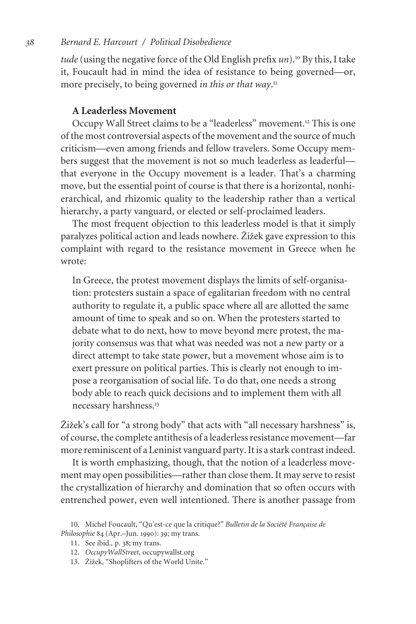*tude*(using the negative force of the Old English prefix *un*).<sup>10</sup> By this, I take it, Foucault had in mind the idea of resistance to being governed—or, more precisely, to being governed *in this or that way*. 11

#### **A Leaderless Movement**

Occupy Wall Street claims to be a "leaderless" movement.<sup>12</sup> This is one of the most controversial aspects of the movement and the source of much criticism—even among friends and fellow travelers. Some Occupy members suggest that the movement is not so much leaderless as leaderful that everyone in the Occupy movement is a leader. That's a charming move, but the essential point of course is that there is a horizontal, nonhierarchical, and rhizomic quality to the leadership rather than a vertical hierarchy, a party vanguard, or elected or self-proclaimed leaders.

The most frequent objection to this leaderless model is that it simply paralyzes political action and leads nowhere. Žižek gave expression to this complaint with regard to the resistance movement in Greece when he wrote:

In Greece, the protest movement displays the limits of self-organisation: protesters sustain a space of egalitarian freedom with no central authority to regulate it, a public space where all are allotted the same amount of time to speak and so on. When the protesters started to debate what to do next, how to move beyond mere protest, the majority consensus was that what was needed was not a new party or a direct attempt to take state power, but a movement whose aim is to exert pressure on political parties. This is clearly not enough to impose a reorganisation of social life. To do that, one needs a strong body able to reach quick decisions and to implement them with all necessary harshness.<sup>13</sup>

Žižek's call for "a strong body" that acts with "all necessary harshness" is, of course, the complete antithesis of a leaderless resistance movement—far more reminiscent of a Leninist vanguard party. It is a stark contrast indeed.

It is worth emphasizing, though, that the notion of a leaderless movement may open possibilities—rather than close them. It may serve to resist the crystallization of hierarchy and domination that so often occurs with entrenched power, even well intentioned. There is another passage from

13. Žižek, "Shoplifters of the World Unite."

<sup>10.</sup> Michel Foucault, "Qu'est-ce que la critique?" *Bulletin de la Société Française de Philosophie* 84 (Apr.–Jun. 1990): 39; my trans.

<sup>11.</sup> See ibid*.,* p. 38; my trans.

<sup>12.</sup> *OccupyWallStreet*, occupywallst.org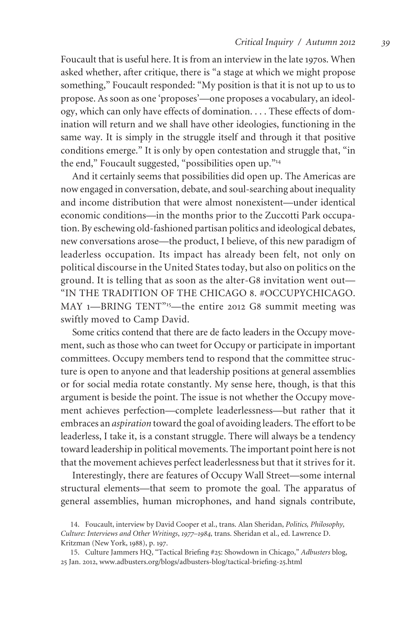Foucault that is useful here. It is from an interview in the late 1970s. When asked whether, after critique, there is "a stage at which we might propose something," Foucault responded: "My position is that it is not up to us to propose. As soon as one 'proposes'—one proposes a vocabulary, an ideology, which can only have effects of domination.... These effects of domination will return and we shall have other ideologies, functioning in the same way. It is simply in the struggle itself and through it that positive conditions emerge." It is only by open contestation and struggle that, "in the end," Foucault suggested, "possibilities open up."<sup>14</sup>

And it certainly seems that possibilities did open up. The Americas are now engaged in conversation, debate, and soul-searching about inequality and income distribution that were almost nonexistent—under identical economic conditions—in the months prior to the Zuccotti Park occupation. By eschewing old-fashioned partisan politics and ideological debates, new conversations arose—the product, I believe, of this new paradigm of leaderless occupation. Its impact has already been felt, not only on political discourse in the United States today, but also on politics on the ground. It is telling that as soon as the alter-G8 invitation went out— "IN THE TRADITION OF THE CHICAGO 8. #OCCUPYCHICAGO. MAY 1—BRING TENT"<sup>15</sup>—the entire 2012 G8 summit meeting was swiftly moved to Camp David.

Some critics contend that there are de facto leaders in the Occupy movement, such as those who can tweet for Occupy or participate in important committees. Occupy members tend to respond that the committee structure is open to anyone and that leadership positions at general assemblies or for social media rotate constantly. My sense here, though, is that this argument is beside the point. The issue is not whether the Occupy movement achieves perfection—complete leaderlessness—but rather that it embraces an *aspiration* toward the goal of avoiding leaders. The effort to be leaderless, I take it, is a constant struggle. There will always be a tendency toward leadership in political movements. The important point here is not that the movement achieves perfect leaderlessness but that it strives for it.

Interestingly, there are features of Occupy Wall Street—some internal structural elements—that seem to promote the goal. The apparatus of general assemblies, human microphones, and hand signals contribute,

<sup>14.</sup> Foucault, interview by David Cooper et al., trans. Alan Sheridan, *Politics, Philosophy, Culture: Interviews and Other Writings*, *1977–1984,* trans. Sheridan et al., ed. Lawrence D. Kritzman (New York, 1988), p. 197.

<sup>15.</sup> Culture Jammers HQ, "Tactical Briefing #25: Showdown in Chicago," *Adbusters* blog, 25 Jan. 2012, www.adbusters.org/blogs/adbusters-blog/tactical-briefing-25.html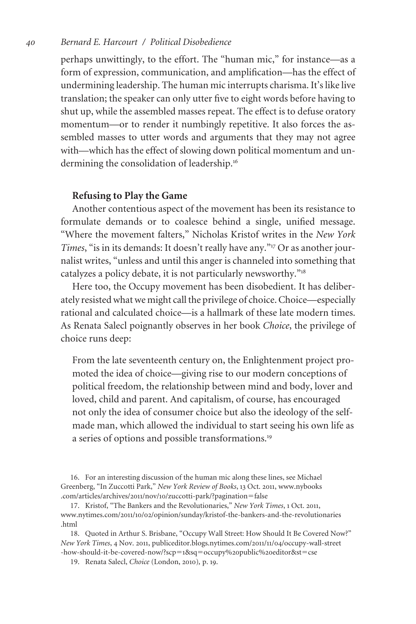perhaps unwittingly, to the effort. The "human mic," for instance—as a form of expression, communication, and amplification—has the effect of undermining leadership. The human mic interrupts charisma. It's like live translation; the speaker can only utter five to eight words before having to shut up, while the assembled masses repeat. The effect is to defuse oratory momentum—or to render it numbingly repetitive. It also forces the assembled masses to utter words and arguments that they may not agree with—which has the effect of slowing down political momentum and undermining the consolidation of leadership.<sup>16</sup>

### **Refusing to Play the Game**

Another contentious aspect of the movement has been its resistance to formulate demands or to coalesce behind a single, unified message. "Where the movement falters," Nicholas Kristof writes in the *New York Times*, "is in its demands: It doesn't really have any."<sup>17</sup> Or as another journalist writes, "unless and until this anger is channeled into something that catalyzes a policy debate, it is not particularly newsworthy."<sup>18</sup>

Here too, the Occupy movement has been disobedient. It has deliberately resisted what we might call the privilege of choice. Choice—especially rational and calculated choice—is a hallmark of these late modern times. As Renata Salecl poignantly observes in her book *Choice*, the privilege of choice runs deep:

From the late seventeenth century on, the Enlightenment project promoted the idea of choice—giving rise to our modern conceptions of political freedom, the relationship between mind and body, lover and loved, child and parent. And capitalism, of course, has encouraged not only the idea of consumer choice but also the ideology of the selfmade man, which allowed the individual to start seeing his own life as a series of options and possible transformations.<sup>19</sup>

16. For an interesting discussion of the human mic along these lines, see Michael Greenberg, "In Zuccotti Park," *New York Review of Books*, 13 Oct. 2011, www.nybooks .com/articles/archives/2011/nov/10/zuccotti-park/?pagination=false

17. Kristof, "The Bankers and the Revolutionaries," *New York Times*, 1 Oct. 2011, www.nytimes.com/2011/10/02/opinion/sunday/kristof-the-bankers-and-the-revolutionaries .html

18. Quoted in Arthur S. Brisbane, "Occupy Wall Street: How Should It Be Covered Now?" *New York Times*, 4 Nov. 2011, publiceditor.blogs.nytimes.com/2011/11/04/occupy-wall-street -how-should-it-be-covered-now/?scp=1&sq=occupy%20public%20editor&st=cse

19. Renata Salecl, *Choice* (London, 2010)*,* p. 19.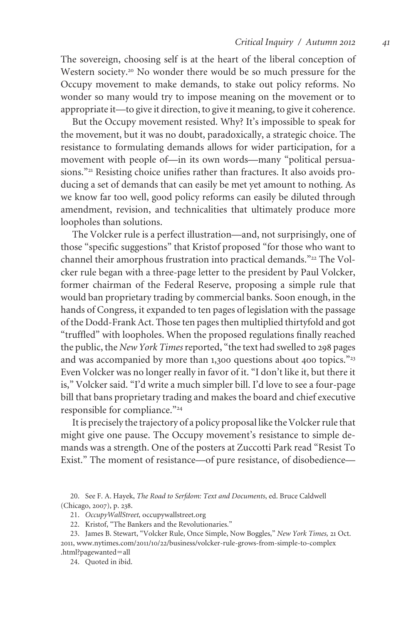The sovereign, choosing self is at the heart of the liberal conception of Western society.<sup>20</sup> No wonder there would be so much pressure for the Occupy movement to make demands, to stake out policy reforms. No wonder so many would try to impose meaning on the movement or to appropriate it—to give it direction, to give it meaning, to give it coherence.

But the Occupy movement resisted. Why? It's impossible to speak for the movement, but it was no doubt, paradoxically, a strategic choice. The resistance to formulating demands allows for wider participation, for a movement with people of—in its own words—many "political persuasions."<sup>21</sup> Resisting choice unifies rather than fractures. It also avoids producing a set of demands that can easily be met yet amount to nothing. As we know far too well, good policy reforms can easily be diluted through amendment, revision, and technicalities that ultimately produce more loopholes than solutions.

The Volcker rule is a perfect illustration—and, not surprisingly, one of those "specific suggestions" that Kristof proposed "for those who want to channel their amorphous frustration into practical demands."<sup>22</sup> The Volcker rule began with a three-page letter to the president by Paul Volcker, former chairman of the Federal Reserve, proposing a simple rule that would ban proprietary trading by commercial banks. Soon enough, in the hands of Congress, it expanded to ten pages of legislation with the passage of the Dodd-Frank Act. Those ten pages then multiplied thirtyfold and got "truffled" with loopholes. When the proposed regulations finally reached the public, the *New York Times*reported, "the text had swelled to 298 pages and was accompanied by more than 1,300 questions about 400 topics."<sup>23</sup> Even Volcker was no longer really in favor of it. "I don't like it, but there it is," Volcker said. "I'd write a much simpler bill. I'd love to see a four-page bill that bans proprietary trading and makes the board and chief executive responsible for compliance."<sup>24</sup>

It is precisely the trajectory of a policy proposal like the Volcker rule that might give one pause. The Occupy movement's resistance to simple demands was a strength. One of the posters at Zuccotti Park read "Resist To Exist." The moment of resistance—of pure resistance, of disobedience—

20. See F. A. Hayek, *The Road to Serfdom: Text and Documents*, ed. Bruce Caldwell (Chicago, 2007), p. 238.

- 21. *OccupyWallStreet,* occupywallstreet.org
- 22. Kristof, "The Bankers and the Revolutionaries."

23. James B. Stewart, "Volcker Rule, Once Simple, Now Boggles," *New York Times,* 21 Oct. 2011, www.nytimes.com/2011/10/22/business/volcker-rule-grows-from-simple-to-complex .html?pagewanted=all

24. Quoted in ibid.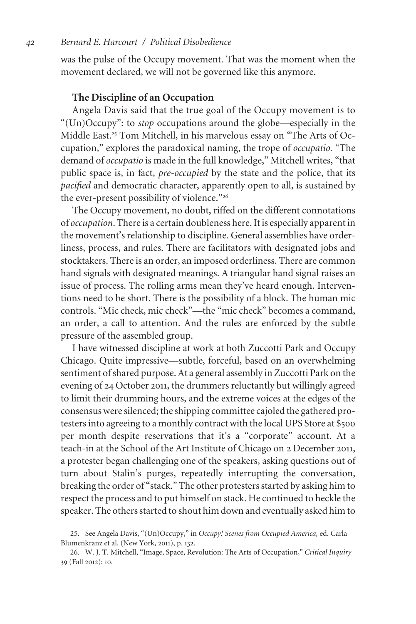was the pulse of the Occupy movement. That was the moment when the movement declared, we will not be governed like this anymore.

### **The Discipline of an Occupation**

Angela Davis said that the true goal of the Occupy movement is to "(Un)Occupy": to *stop* occupations around the globe—especially in the Middle East.<sup>25</sup> Tom Mitchell, in his marvelous essay on "The Arts of Occupation," explores the paradoxical naming, the trope of *occupatio.* "The demand of *occupatio* is made in the full knowledge," Mitchell writes, "that public space is, in fact, *pre-occupied* by the state and the police, that its *pacified* and democratic character, apparently open to all, is sustained by the ever-present possibility of violence."26

The Occupy movement, no doubt, riffed on the different connotations of *occupation*. There is a certain doubleness here. It is especially apparent in the movement's relationship to discipline. General assemblies have orderliness, process, and rules. There are facilitators with designated jobs and stocktakers. There is an order, an imposed orderliness. There are common hand signals with designated meanings. A triangular hand signal raises an issue of process. The rolling arms mean they've heard enough. Interventions need to be short. There is the possibility of a block. The human mic controls. "Mic check, mic check"—the "mic check" becomes a command, an order, a call to attention. And the rules are enforced by the subtle pressure of the assembled group.

I have witnessed discipline at work at both Zuccotti Park and Occupy Chicago. Quite impressive—subtle, forceful, based on an overwhelming sentiment of shared purpose. At a general assembly in Zuccotti Park on the evening of 24 October 2011, the drummers reluctantly but willingly agreed to limit their drumming hours, and the extreme voices at the edges of the consensus were silenced; the shipping committee cajoled the gathered protesters into agreeing to a monthly contract with the local UPS Store at \$500 per month despite reservations that it's a "corporate" account. At a teach-in at the School of the Art Institute of Chicago on 2 December 2011, a protester began challenging one of the speakers, asking questions out of turn about Stalin's purges, repeatedly interrupting the conversation, breaking the order of "stack." The other protesters started by asking him to respect the process and to put himself on stack. He continued to heckle the speaker. The others started to shout him down and eventually asked him to

<sup>25.</sup> See Angela Davis, "(Un)Occupy," in *Occupy! Scenes from Occupied America,* ed. Carla Blumenkranz et al. (New York, 2011), p. 132.

<sup>26.</sup> W. J. T. Mitchell, "Image, Space, Revolution: The Arts of Occupation," *Critical Inquiry* 39 (Fall 2012): 10.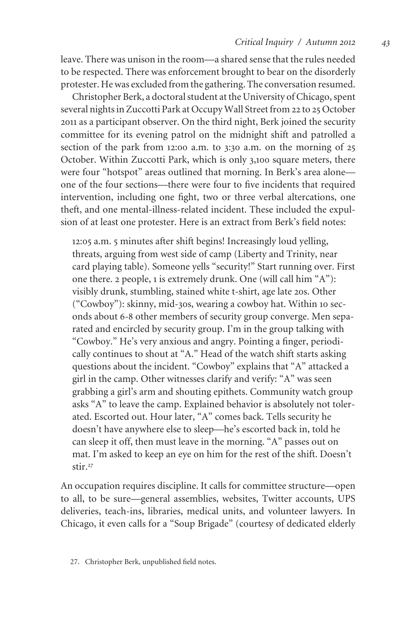leave. There was unison in the room—a shared sense that the rules needed to be respected. There was enforcement brought to bear on the disorderly protester. He was excluded from the gathering. The conversation resumed.

Christopher Berk, a doctoral student at the University of Chicago, spent several nights in Zuccotti Park at Occupy Wall Street from 22 to 25 October 2011 as a participant observer. On the third night, Berk joined the security committee for its evening patrol on the midnight shift and patrolled a section of the park from 12:00 a.m. to 3:30 a.m. on the morning of 25 October. Within Zuccotti Park, which is only 3,100 square meters, there were four "hotspot" areas outlined that morning. In Berk's area alone one of the four sections—there were four to five incidents that required intervention, including one fight, two or three verbal altercations, one theft, and one mental-illness-related incident. These included the expulsion of at least one protester. Here is an extract from Berk's field notes:

12:05 a.m. 5 minutes after shift begins! Increasingly loud yelling, threats, arguing from west side of camp (Liberty and Trinity, near card playing table). Someone yells "security!" Start running over. First one there. 2 people, 1 is extremely drunk. One (will call him "A"): visibly drunk, stumbling, stained white t-shirt, age late 20s. Other ("Cowboy"): skinny, mid-30s, wearing a cowboy hat. Within 10 seconds about 6-8 other members of security group converge. Men separated and encircled by security group. I'm in the group talking with "Cowboy." He's very anxious and angry. Pointing a finger, periodically continues to shout at "A." Head of the watch shift starts asking questions about the incident. "Cowboy" explains that "A" attacked a girl in the camp. Other witnesses clarify and verify: "A" was seen grabbing a girl's arm and shouting epithets. Community watch group asks "A" to leave the camp. Explained behavior is absolutely not tolerated. Escorted out. Hour later, "A" comes back. Tells security he doesn't have anywhere else to sleep—he's escorted back in, told he can sleep it off, then must leave in the morning. "A" passes out on mat. I'm asked to keep an eye on him for the rest of the shift. Doesn't stir.<sup>27</sup>

An occupation requires discipline. It calls for committee structure—open to all, to be sure—general assemblies, websites, Twitter accounts, UPS deliveries, teach-ins, libraries, medical units, and volunteer lawyers. In Chicago, it even calls for a "Soup Brigade" (courtesy of dedicated elderly

<sup>27.</sup> Christopher Berk, unpublished field notes.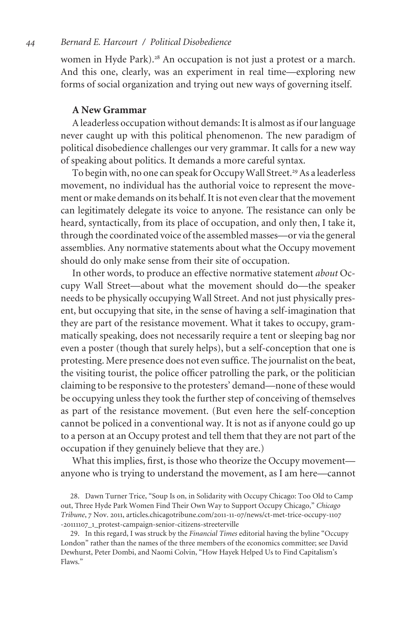women in Hyde Park).<sup>28</sup> An occupation is not just a protest or a march. And this one, clearly, was an experiment in real time—exploring new forms of social organization and trying out new ways of governing itself.

### **A New Grammar**

A leaderless occupation without demands: It is almost as if our language never caught up with this political phenomenon. The new paradigm of political disobedience challenges our very grammar. It calls for a new way of speaking about politics. It demands a more careful syntax.

To begin with, no one can speak for Occupy Wall Street.<sup>29</sup> As a leaderless movement, no individual has the authorial voice to represent the movement or make demands on its behalf. It is not even clear that the movement can legitimately delegate its voice to anyone. The resistance can only be heard, syntactically, from its place of occupation, and only then, I take it, through the coordinated voice of the assembled masses—or via the general assemblies. Any normative statements about what the Occupy movement should do only make sense from their site of occupation.

In other words, to produce an effective normative statement *about* Occupy Wall Street—about what the movement should do—the speaker needs to be physically occupying Wall Street. And not just physically present, but occupying that site, in the sense of having a self-imagination that they are part of the resistance movement. What it takes to occupy, grammatically speaking, does not necessarily require a tent or sleeping bag nor even a poster (though that surely helps), but a self-conception that one is protesting. Mere presence does not even suffice. The journalist on the beat, the visiting tourist, the police officer patrolling the park, or the politician claiming to be responsive to the protesters' demand—none of these would be occupying unless they took the further step of conceiving of themselves as part of the resistance movement. (But even here the self-conception cannot be policed in a conventional way. It is not as if anyone could go up to a person at an Occupy protest and tell them that they are not part of the occupation if they genuinely believe that they are.)

What this implies, first, is those who theorize the Occupy movement anyone who is trying to understand the movement, as I am here—cannot

28. Dawn Turner Trice, "Soup Is on, in Solidarity with Occupy Chicago: Too Old to Camp out, Three Hyde Park Women Find Their Own Way to Support Occupy Chicago," *Chicago Tribune*, 7 Nov. 2011, articles.chicagotribune.com/2011-11-07/news/ct-met-trice-occupy-1107 -20111107\_1\_protest-campaign-senior-citizens-streeterville

29. In this regard, I was struck by the *Financial Times* editorial having the byline "Occupy London" rather than the names of the three members of the economics committee; see David Dewhurst, Peter Dombi, and Naomi Colvin, "How Hayek Helped Us to Find Capitalism's Flaws."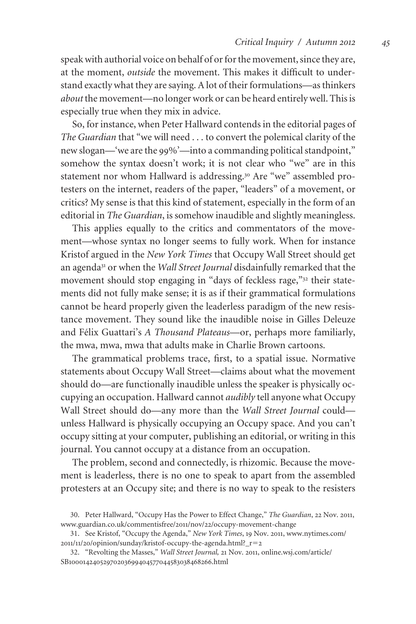speak with authorial voice on behalf of or for the movement, since they are, at the moment, *outside* the movement. This makes it difficult to understand exactly what they are saying. A lot of their formulations—as thinkers *about* the movement—no longer work or can be heard entirely well. This is especially true when they mix in advice.

So, for instance, when Peter Hallward contends in the editorial pages of *The Guardian* that "we will need . . . to convert the polemical clarity of the new slogan—'we are the 99%'—into a commanding political standpoint," somehow the syntax doesn't work; it is not clear who "we" are in this statement nor whom Hallward is addressing.<sup>30</sup> Are "we" assembled protesters on the internet, readers of the paper, "leaders" of a movement, or critics? My sense is that this kind of statement, especially in the form of an editorial in *The Guardian*, is somehow inaudible and slightly meaningless.

This applies equally to the critics and commentators of the movement—whose syntax no longer seems to fully work. When for instance Kristof argued in the *New York Times* that Occupy Wall Street should get an agenda<sup>31</sup> or when the *Wall Street Journal* disdainfully remarked that the movement should stop engaging in "days of feckless rage,"<sup>32</sup> their statements did not fully make sense; it is as if their grammatical formulations cannot be heard properly given the leaderless paradigm of the new resistance movement. They sound like the inaudible noise in Gilles Deleuze and Félix Guattari's *A Thousand Plateaus*—or, perhaps more familiarly, the mwa, mwa, mwa that adults make in Charlie Brown cartoons.

The grammatical problems trace, first, to a spatial issue. Normative statements about Occupy Wall Street—claims about what the movement should do—are functionally inaudible unless the speaker is physically occupying an occupation. Hallward cannot *audibly* tell anyone what Occupy Wall Street should do—any more than the *Wall Street Journal* could unless Hallward is physically occupying an Occupy space. And you can't occupy sitting at your computer, publishing an editorial, or writing in this journal. You cannot occupy at a distance from an occupation.

The problem, second and connectedly, is rhizomic*.* Because the movement is leaderless, there is no one to speak to apart from the assembled protesters at an Occupy site; and there is no way to speak to the resisters

<sup>30.</sup> Peter Hallward, "Occupy Has the Power to Effect Change," *The Guardian*, 22 Nov. 2011, www.guardian.co.uk/commentisfree/2011/nov/22/occupy-movement-change

<sup>31.</sup> See Kristof, "Occupy the Agenda," *New York Times*, 19 Nov. 2011, www.nytimes.com/  $2011/11/20$ /opinion/sunday/kristof-occupy-the-agenda.html?\_r=2

<sup>32. &</sup>quot;Revolting the Masses," *Wall Street Journal,* 21 Nov. 2011, online.wsj.com/article/ SB10001424052970203699404577044583038468266.html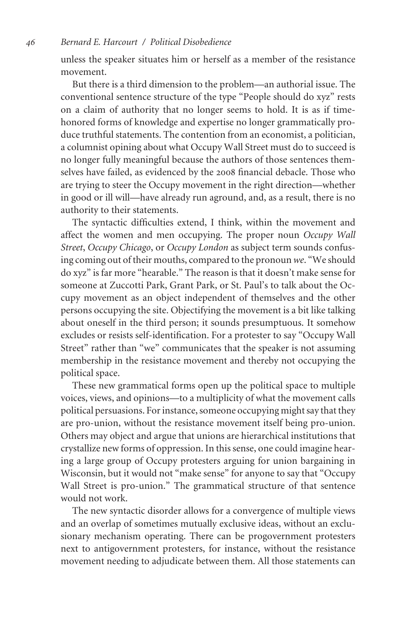unless the speaker situates him or herself as a member of the resistance movement.

But there is a third dimension to the problem—an authorial issue. The conventional sentence structure of the type "People should do xyz" rests on a claim of authority that no longer seems to hold. It is as if timehonored forms of knowledge and expertise no longer grammatically produce truthful statements. The contention from an economist, a politician, a columnist opining about what Occupy Wall Street must do to succeed is no longer fully meaningful because the authors of those sentences themselves have failed, as evidenced by the 2008 financial debacle. Those who are trying to steer the Occupy movement in the right direction—whether in good or ill will—have already run aground, and, as a result, there is no authority to their statements.

The syntactic difficulties extend, I think, within the movement and affect the women and men occupying. The proper noun *Occupy Wall Street*, *Occupy Chicago*, or *Occupy London* as subject term sounds confusing coming out of their mouths, compared to the pronoun*we*. "We should do xyz" is far more "hearable." The reason is that it doesn't make sense for someone at Zuccotti Park, Grant Park, or St. Paul's to talk about the Occupy movement as an object independent of themselves and the other persons occupying the site. Objectifying the movement is a bit like talking about oneself in the third person; it sounds presumptuous. It somehow excludes or resists self-identification. For a protester to say "Occupy Wall Street" rather than "we" communicates that the speaker is not assuming membership in the resistance movement and thereby not occupying the political space.

These new grammatical forms open up the political space to multiple voices, views, and opinions—to a multiplicity of what the movement calls political persuasions. For instance, someone occupying might say that they are pro-union, without the resistance movement itself being pro-union. Others may object and argue that unions are hierarchical institutions that crystallize new forms of oppression. In this sense, one could imagine hearing a large group of Occupy protesters arguing for union bargaining in Wisconsin, but it would not "make sense" for anyone to say that "Occupy Wall Street is pro-union." The grammatical structure of that sentence would not work.

The new syntactic disorder allows for a convergence of multiple views and an overlap of sometimes mutually exclusive ideas, without an exclusionary mechanism operating. There can be progovernment protesters next to antigovernment protesters, for instance, without the resistance movement needing to adjudicate between them. All those statements can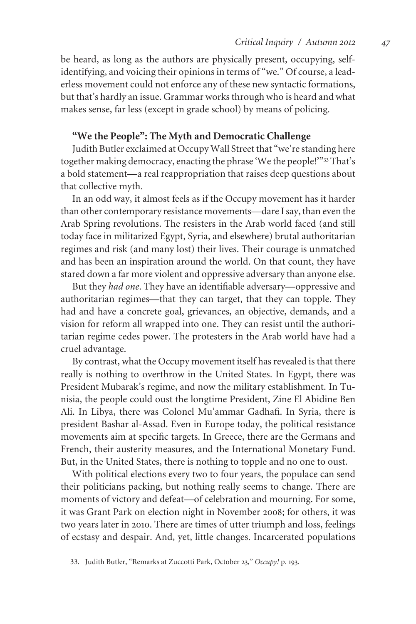be heard, as long as the authors are physically present, occupying, selfidentifying, and voicing their opinions in terms of "we." Of course, a leaderless movement could not enforce any of these new syntactic formations, but that's hardly an issue. Grammar works through who is heard and what makes sense, far less (except in grade school) by means of policing.

## **"We the People": The Myth and Democratic Challenge**

Judith Butler exclaimed at Occupy Wall Street that "we're standing here together making democracy, enacting the phrase 'We the people!'"<sup>33</sup> That's a bold statement—a real reappropriation that raises deep questions about that collective myth.

In an odd way, it almost feels as if the Occupy movement has it harder than other contemporary resistance movements—dare I say, than even the Arab Spring revolutions. The resisters in the Arab world faced (and still today face in militarized Egypt, Syria, and elsewhere) brutal authoritarian regimes and risk (and many lost) their lives. Their courage is unmatched and has been an inspiration around the world. On that count, they have stared down a far more violent and oppressive adversary than anyone else.

But they *had one*. They have an identifiable adversary—oppressive and authoritarian regimes—that they can target, that they can topple. They had and have a concrete goal, grievances, an objective, demands, and a vision for reform all wrapped into one. They can resist until the authoritarian regime cedes power. The protesters in the Arab world have had a cruel advantage.

By contrast, what the Occupy movement itself has revealed is that there really is nothing to overthrow in the United States. In Egypt, there was President Mubarak's regime, and now the military establishment. In Tunisia, the people could oust the longtime President, Zine El Abidine Ben Ali. In Libya, there was Colonel Mu'ammar Gadhafi. In Syria, there is president Bashar al-Assad. Even in Europe today, the political resistance movements aim at specific targets. In Greece, there are the Germans and French, their austerity measures, and the International Monetary Fund. But, in the United States, there is nothing to topple and no one to oust.

With political elections every two to four years, the populace can send their politicians packing, but nothing really seems to change. There are moments of victory and defeat—of celebration and mourning. For some, it was Grant Park on election night in November 2008; for others, it was two years later in 2010. There are times of utter triumph and loss, feelings of ecstasy and despair. And, yet, little changes. Incarcerated populations

<sup>33.</sup> Judith Butler, "Remarks at Zuccotti Park, October 23," *Occupy!* p. 193.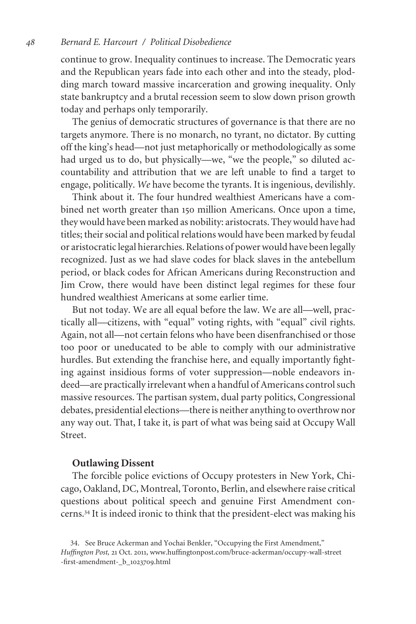continue to grow. Inequality continues to increase. The Democratic years and the Republican years fade into each other and into the steady, plodding march toward massive incarceration and growing inequality. Only state bankruptcy and a brutal recession seem to slow down prison growth today and perhaps only temporarily.

The genius of democratic structures of governance is that there are no targets anymore. There is no monarch, no tyrant, no dictator. By cutting off the king's head—not just metaphorically or methodologically as some had urged us to do, but physically—we, "we the people," so diluted accountability and attribution that we are left unable to find a target to engage, politically. *We* have become the tyrants. It is ingenious, devilishly.

Think about it. The four hundred wealthiest Americans have a combined net worth greater than 150 million Americans. Once upon a time, they would have been marked as nobility: aristocrats. They would have had titles; their social and political relations would have been marked by feudal or aristocratic legal hierarchies. Relations of power would have been legally recognized. Just as we had slave codes for black slaves in the antebellum period, or black codes for African Americans during Reconstruction and Jim Crow, there would have been distinct legal regimes for these four hundred wealthiest Americans at some earlier time.

But not today. We are all equal before the law. We are all—well, practically all—citizens, with "equal" voting rights, with "equal" civil rights. Again, not all—not certain felons who have been disenfranchised or those too poor or uneducated to be able to comply with our administrative hurdles. But extending the franchise here, and equally importantly fighting against insidious forms of voter suppression—noble endeavors indeed—are practically irrelevant when a handful of Americans control such massive resources. The partisan system, dual party politics, Congressional debates, presidential elections—there is neither anything to overthrow nor any way out. That, I take it, is part of what was being said at Occupy Wall Street.

#### **Outlawing Dissent**

The forcible police evictions of Occupy protesters in New York, Chicago, Oakland, DC, Montreal, Toronto, Berlin, and elsewhere raise critical questions about political speech and genuine First Amendment concerns.<sup>34</sup> It is indeed ironic to think that the president-elect was making his

<sup>34.</sup> See Bruce Ackerman and Yochai Benkler, "Occupying the First Amendment," *Huffington Post,* 21 Oct. 2011, www.huffingtonpost.com/bruce-ackerman/occupy-wall-street -first-amendment-\_b\_1023709.html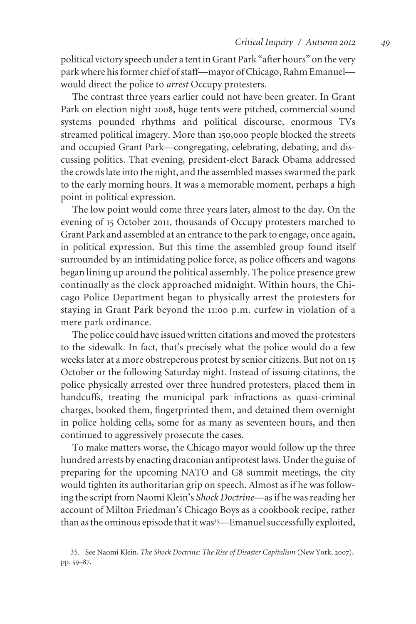political victory speech under a tent in Grant Park "after hours" on the very park where his former chief of staff—mayor of Chicago, Rahm Emanuel would direct the police to *arrest* Occupy protesters.

The contrast three years earlier could not have been greater. In Grant Park on election night 2008, huge tents were pitched, commercial sound systems pounded rhythms and political discourse, enormous TVs streamed political imagery. More than 150,000 people blocked the streets and occupied Grant Park—congregating, celebrating, debating, and discussing politics. That evening, president-elect Barack Obama addressed the crowds late into the night, and the assembled masses swarmed the park to the early morning hours. It was a memorable moment, perhaps a high point in political expression.

The low point would come three years later, almost to the day. On the evening of 15 October 2011, thousands of Occupy protesters marched to Grant Park and assembled at an entrance to the park to engage, once again, in political expression. But this time the assembled group found itself surrounded by an intimidating police force, as police officers and wagons began lining up around the political assembly. The police presence grew continually as the clock approached midnight. Within hours, the Chicago Police Department began to physically arrest the protesters for staying in Grant Park beyond the 11:00 p.m. curfew in violation of a mere park ordinance.

The police could have issued written citations and moved the protesters to the sidewalk. In fact, that's precisely what the police would do a few weeks later at a more obstreperous protest by senior citizens. But not on 15 October or the following Saturday night. Instead of issuing citations, the police physically arrested over three hundred protesters, placed them in handcuffs, treating the municipal park infractions as quasi-criminal charges, booked them, fingerprinted them, and detained them overnight in police holding cells, some for as many as seventeen hours, and then continued to aggressively prosecute the cases.

To make matters worse, the Chicago mayor would follow up the three hundred arrests by enacting draconian antiprotest laws. Under the guise of preparing for the upcoming NATO and G8 summit meetings, the city would tighten its authoritarian grip on speech. Almost as if he was following the script from Naomi Klein's *Shock Doctrine*—as if he was reading her account of Milton Friedman's Chicago Boys as a cookbook recipe, rather than as the ominous episode that it was<sup>35</sup>—Emanuel successfully exploited,

<sup>35.</sup> See Naomi Klein, *The Shock Doctrine: The Rise of Disaster Capitalism* (New York, 2007), pp. 59–87.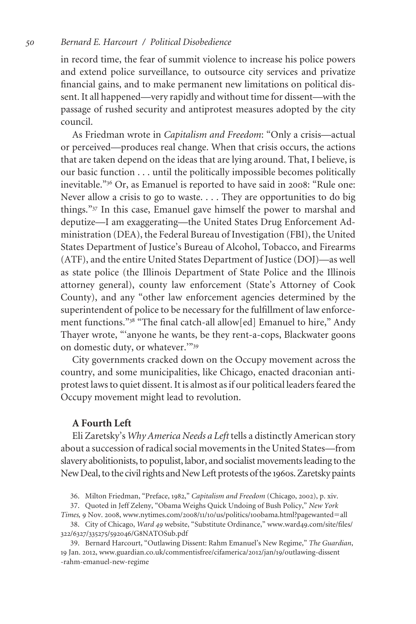in record time, the fear of summit violence to increase his police powers and extend police surveillance, to outsource city services and privatize financial gains, and to make permanent new limitations on political dissent. It all happened—very rapidly and without time for dissent—with the passage of rushed security and antiprotest measures adopted by the city council.

As Friedman wrote in *Capitalism and Freedom*: "Only a crisis—actual or perceived—produces real change. When that crisis occurs, the actions that are taken depend on the ideas that are lying around. That, I believe, is our basic function... until the politically impossible becomes politically inevitable."<sup>36</sup> Or, as Emanuel is reported to have said in 2008: "Rule one: Never allow a crisis to go to waste.... They are opportunities to do big things."<sup>37</sup> In this case, Emanuel gave himself the power to marshal and deputize—I am exaggerating—the United States Drug Enforcement Administration (DEA), the Federal Bureau of Investigation (FBI), the United States Department of Justice's Bureau of Alcohol, Tobacco, and Firearms (ATF), and the entire United States Department of Justice (DOJ)—as well as state police (the Illinois Department of State Police and the Illinois attorney general), county law enforcement (State's Attorney of Cook County), and any "other law enforcement agencies determined by the superintendent of police to be necessary for the fulfillment of law enforcement functions."<sup>38</sup> "The final catch-all allow[ed] Emanuel to hire," Andy Thayer wrote, "'anyone he wants, be they rent-a-cops, Blackwater goons on domestic duty, or whatever.'"<sup>39</sup>

City governments cracked down on the Occupy movement across the country, and some municipalities, like Chicago, enacted draconian antiprotest laws to quiet dissent. It is almost as if our political leaders feared the Occupy movement might lead to revolution.

#### **A Fourth Left**

Eli Zaretsky's *Why America Needs a Left* tells a distinctly American story about a succession of radical social movements in the United States—from slavery abolitionists, to populist, labor, and socialist movements leading to the New Deal, to the civil rights and New Left protests of the 1960s. Zaretsky paints

36. Milton Friedman, "Preface, 1982," *Capitalism and Freedom* (Chicago, 2002), p. xiv.

37. Quoted in Jeff Zeleny, "Obama Weighs Quick Undoing of Bush Policy," *New York*

*Times*, 9 Nov. 2008, www.nytimes.com/2008/11/10/us/politics/100bama.html?pagewanted=all

38. City of Chicago, *Ward 49* website, "Substitute Ordinance," www.ward49.com/site/files/ 322/6327/335275/592046/G8NATOSub.pdf

39. Bernard Harcourt, "Outlawing Dissent: Rahm Emanuel's New Regime," *The Guardian*, 19 Jan. 2012, www.guardian.co.uk/commentisfree/cifamerica/2012/jan/19/outlawing-dissent -rahm-emanuel-new-regime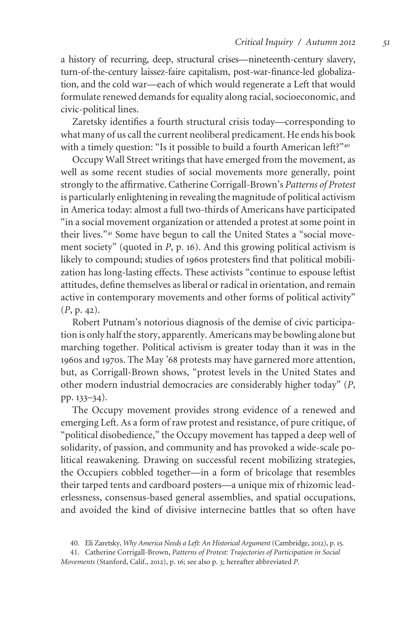a history of recurring, deep, structural crises—nineteenth-century slavery, turn-of-the-century laissez-faire capitalism, post-war-finance-led globalization, and the cold war—each of which would regenerate a Left that would formulate renewed demands for equality along racial, socioeconomic, and civic-political lines.

Zaretsky identifies a fourth structural crisis today—corresponding to what many of us call the current neoliberal predicament. He ends his book with a timely question: "Is it possible to build a fourth American left?"<sup>40</sup>

Occupy Wall Street writings that have emerged from the movement, as well as some recent studies of social movements more generally, point strongly to the affirmative. Catherine Corrigall-Brown's *Patterns of Protest* is particularly enlightening in revealing the magnitude of political activism in America today: almost a full two-thirds of Americans have participated "in a social movement organization or attended a protest at some point in their lives."<sup>41</sup> Some have begun to call the United States a "social movement society" (quoted in *P*, p. 16). And this growing political activism is likely to compound; studies of 1960s protesters find that political mobilization has long-lasting effects. These activists "continue to espouse leftist attitudes, define themselves as liberal or radical in orientation, and remain active in contemporary movements and other forms of political activity" (*P*, p. 42).

Robert Putnam's notorious diagnosis of the demise of civic participation is only half the story, apparently. Americans may be bowling alone but marching together. Political activism is greater today than it was in the 1960s and 1970s. The May '68 protests may have garnered more attention, but, as Corrigall-Brown shows, "protest levels in the United States and other modern industrial democracies are considerably higher today" (*P*, pp. 133–34).

The Occupy movement provides strong evidence of a renewed and emerging Left. As a form of raw protest and resistance, of pure critique, of "political disobedience," the Occupy movement has tapped a deep well of solidarity, of passion, and community and has provoked a wide-scale political reawakening. Drawing on successful recent mobilizing strategies, the Occupiers cobbled together—in a form of bricolage that resembles their tarped tents and cardboard posters—a unique mix of rhizomic leaderlessness, consensus-based general assemblies, and spatial occupations, and avoided the kind of divisive internecine battles that so often have

<sup>40.</sup> Eli Zaretsky, *Why America Needs a Left: An Historical Argument* (Cambridge, 2012), p. 15.

<sup>41.</sup> Catherine Corrigall-Brown, *Patterns of Protest: Trajectories of Participation in Social Movements* (Stanford, Calif., 2012), p. 16; see also p. 3; hereafter abbreviated *P*.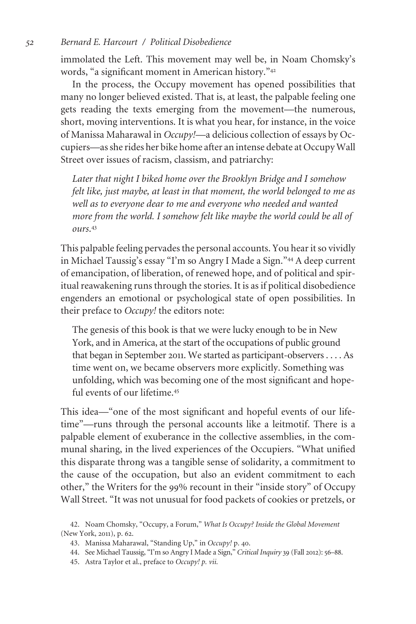immolated the Left. This movement may well be, in Noam Chomsky's words, "a significant moment in American history."<sup>42</sup>

In the process, the Occupy movement has opened possibilities that many no longer believed existed. That is, at least, the palpable feeling one gets reading the texts emerging from the movement—the numerous, short, moving interventions. It is what you hear, for instance, in the voice of Manissa Maharawal in *Occupy!*—a delicious collection of essays by Occupiers—as she rides her bike home after an intense debate at Occupy Wall Street over issues of racism, classism, and patriarchy:

*Later that night I biked home over the Brooklyn Bridge and I somehow felt like, just maybe, at least in that moment, the world belonged to me as well as to everyone dear to me and everyone who needed and wanted more from the world. I somehow felt like maybe the world could be all of ours*. 43

This palpable feeling pervades the personal accounts. You hear it so vividly in Michael Taussig's essay "I'm so Angry I Made a Sign."<sup>44</sup> A deep current of emancipation, of liberation, of renewed hope, and of political and spiritual reawakening runs through the stories. It is as if political disobedience engenders an emotional or psychological state of open possibilities. In their preface to *Occupy!* the editors note:

The genesis of this book is that we were lucky enough to be in New York, and in America, at the start of the occupations of public ground that began in September 2011. We started as participant-observers . . . . As time went on, we became observers more explicitly. Something was unfolding, which was becoming one of the most significant and hopeful events of our lifetime.<sup>45</sup>

This idea—"one of the most significant and hopeful events of our lifetime"—runs through the personal accounts like a leitmotif. There is a palpable element of exuberance in the collective assemblies, in the communal sharing, in the lived experiences of the Occupiers. "What unified this disparate throng was a tangible sense of solidarity, a commitment to the cause of the occupation, but also an evident commitment to each other," the Writers for the 99% recount in their "inside story" of Occupy Wall Street. "It was not unusual for food packets of cookies or pretzels, or

- 43. Manissa Maharawal, "Standing Up," in *Occupy!* p. 40.
- 44. See Michael Taussig, "I'm so Angry I Made a Sign," *Critical Inquiry* 39 (Fall 2012): 56–88.
- 45. Astra Taylor et al., preface to *Occupy! p. vii.*

<sup>42.</sup> Noam Chomsky, "Occupy, a Forum," *What Is Occupy? Inside the Global Movement* (New York, 2011), p. 62.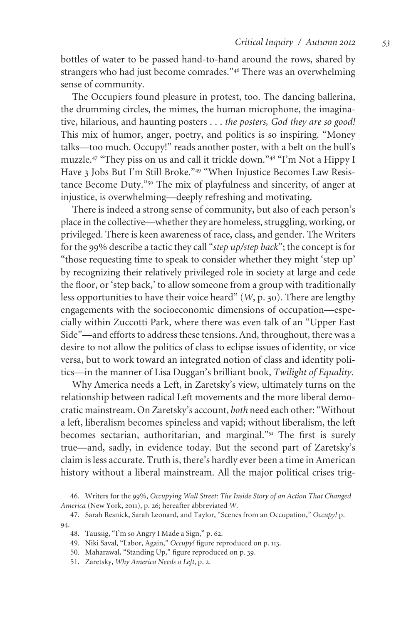bottles of water to be passed hand-to-hand around the rows, shared by strangers who had just become comrades."<sup>46</sup> There was an overwhelming sense of community.

The Occupiers found pleasure in protest, too. The dancing ballerina, the drumming circles, the mimes, the human microphone, the imaginative, hilarious, and haunting posters... *the posters, God they are so good!* This mix of humor, anger, poetry, and politics is so inspiring. "Money talks—too much. Occupy!" reads another poster, with a belt on the bull's muzzle.<sup>47</sup> "They piss on us and call it trickle down."<sup>48</sup> "I'm Not a Hippy I Have 3 Jobs But I'm Still Broke."<sup>49</sup> "When Injustice Becomes Law Resistance Become Duty."<sup>50</sup> The mix of playfulness and sincerity, of anger at injustice, is overwhelming—deeply refreshing and motivating.

There is indeed a strong sense of community, but also of each person's place in the collective—whether they are homeless, struggling, working, or privileged. There is keen awareness of race, class, and gender. The Writers for the 99% describe a tactic they call "*step up/step back*"; the concept is for "those requesting time to speak to consider whether they might 'step up' by recognizing their relatively privileged role in society at large and cede the floor, or 'step back,' to allow someone from a group with traditionally less opportunities to have their voice heard" (*W*, p. 30). There are lengthy engagements with the socioeconomic dimensions of occupation—especially within Zuccotti Park, where there was even talk of an "Upper East Side"—and efforts to address these tensions. And, throughout, there was a desire to not allow the politics of class to eclipse issues of identity, or vice versa, but to work toward an integrated notion of class and identity politics—in the manner of Lisa Duggan's brilliant book, *Twilight of Equality*.

Why America needs a Left, in Zaretsky's view, ultimately turns on the relationship between radical Left movements and the more liberal democratic mainstream. On Zaretsky's account, *both* need each other: "Without a left, liberalism becomes spineless and vapid; without liberalism, the left becomes sectarian, authoritarian, and marginal."<sup>51</sup> The first is surely true—and, sadly, in evidence today. But the second part of Zaretsky's claim is less accurate. Truth is, there's hardly ever been a time in American history without a liberal mainstream. All the major political crises trig-

94.

- 49. Niki Saval, "Labor, Again," *Occupy!* figure reproduced on p. 113.
- 50. Maharawal, "Standing Up," figure reproduced on p. 39.
- 51. Zaretsky, *Why America Needs a Left*, p. 2.

<sup>46.</sup> Writers for the 99%, *Occupying Wall Street: The Inside Story of an Action That Changed America* (New York, 2011), p. 26; hereafter abbreviated *W*.

<sup>47.</sup> Sarah Resnick, Sarah Leonard, and Taylor, "Scenes from an Occupation," *Occupy!* p.

<sup>48.</sup> Taussig, "I'm so Angry I Made a Sign," p. 62.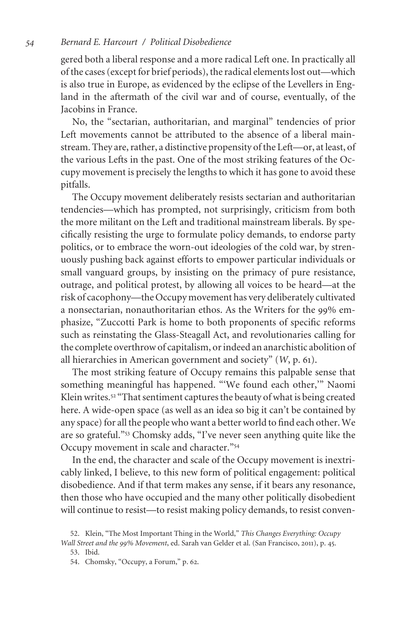gered both a liberal response and a more radical Left one. In practically all of the cases (except for brief periods), the radical elements lost out—which is also true in Europe, as evidenced by the eclipse of the Levellers in England in the aftermath of the civil war and of course, eventually, of the Jacobins in France.

No, the "sectarian, authoritarian, and marginal" tendencies of prior Left movements cannot be attributed to the absence of a liberal mainstream. They are, rather, a distinctive propensity of the Left—or, at least, of the various Lefts in the past. One of the most striking features of the Occupy movement is precisely the lengths to which it has gone to avoid these pitfalls.

The Occupy movement deliberately resists sectarian and authoritarian tendencies—which has prompted, not surprisingly, criticism from both the more militant on the Left and traditional mainstream liberals. By specifically resisting the urge to formulate policy demands, to endorse party politics, or to embrace the worn-out ideologies of the cold war, by strenuously pushing back against efforts to empower particular individuals or small vanguard groups, by insisting on the primacy of pure resistance, outrage, and political protest, by allowing all voices to be heard—at the risk of cacophony—the Occupy movement has very deliberately cultivated a nonsectarian, nonauthoritarian ethos. As the Writers for the 99% emphasize, "Zuccotti Park is home to both proponents of specific reforms such as reinstating the Glass-Steagall Act, and revolutionaries calling for the complete overthrow of capitalism, or indeed an anarchistic abolition of all hierarchies in American government and society" (*W*, p. 61).

The most striking feature of Occupy remains this palpable sense that something meaningful has happened. "'We found each other,'" Naomi Klein writes.<sup>52</sup> "That sentiment captures the beauty of what is being created here. A wide-open space (as well as an idea so big it can't be contained by any space) for all the people who want a better world to find each other. We are so grateful."<sup>53</sup> Chomsky adds, "I've never seen anything quite like the Occupy movement in scale and character."<sup>54</sup>

In the end, the character and scale of the Occupy movement is inextricably linked, I believe, to this new form of political engagement: political disobedience. And if that term makes any sense, if it bears any resonance, then those who have occupied and the many other politically disobedient will continue to resist—to resist making policy demands, to resist conven-

<sup>52.</sup> Klein, "The Most Important Thing in the World," *This Changes Everything: Occupy Wall Street and the 99% Movement*, ed. Sarah van Gelder et al. (San Francisco, 2011), p. 45.

<sup>53.</sup> Ibid.

<sup>54.</sup> Chomsky, "Occupy, a Forum," p. 62.